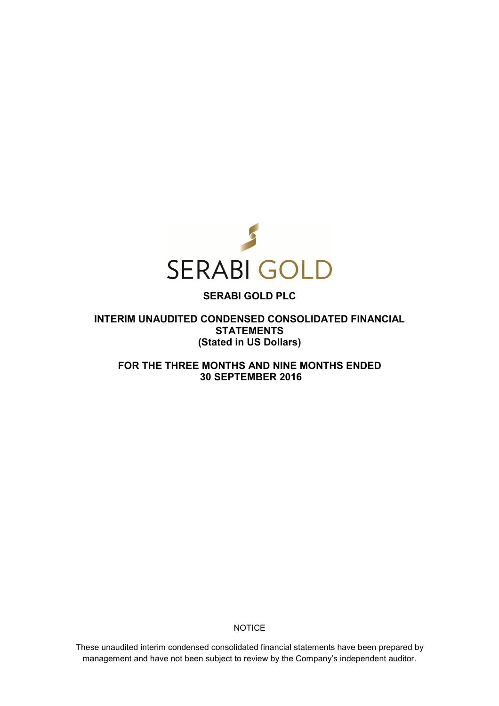

# **SERABI GOLD PLC**

**INTERIM UNAUDITED CONDENSED CONSOLIDATED FINANCIAL STATEMENTS (Stated in US Dollars)** 

**FOR THE THREE MONTHS AND NINE MONTHS ENDED 30 SEPTEMBER 2016** 

**NOTICE** 

These unaudited interim condensed consolidated financial statements have been prepared by management and have not been subject to review by the Company's independent auditor.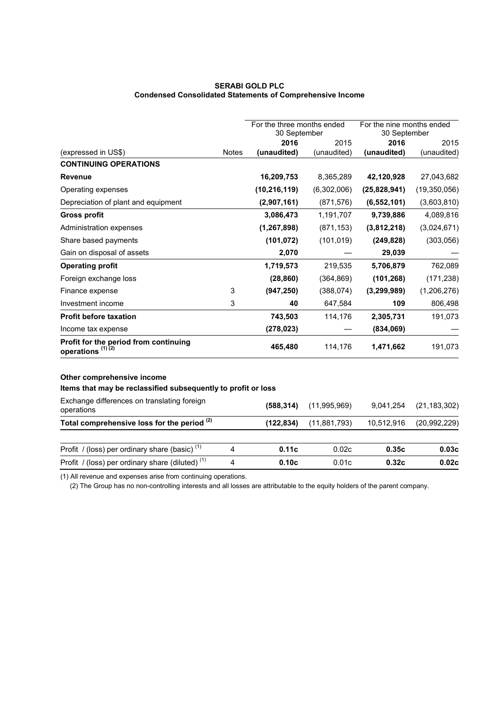# **SERABI GOLD PLC Condensed Consolidated Statements of Comprehensive Income**

|                                                                                             |              | For the three months ended<br>30 September |                | For the nine months ended<br>30 September |                |
|---------------------------------------------------------------------------------------------|--------------|--------------------------------------------|----------------|-------------------------------------------|----------------|
|                                                                                             |              | 2016                                       | 2015           | 2016                                      | 2015           |
| (expressed in US\$)                                                                         | <b>Notes</b> | (unaudited)                                | (unaudited)    | (unaudited)                               | (unaudited)    |
| <b>CONTINUING OPERATIONS</b>                                                                |              |                                            |                |                                           |                |
| <b>Revenue</b>                                                                              |              | 16,209,753                                 | 8,365,289      | 42,120,928                                | 27,043,682     |
| Operating expenses                                                                          |              | (10, 216, 119)                             | (6,302,006)    | (25,828,941)                              | (19,350,056)   |
| Depreciation of plant and equipment                                                         |              | (2,907,161)                                | (871, 576)     | (6, 552, 101)                             | (3,603,810)    |
| <b>Gross profit</b>                                                                         |              | 3,086,473                                  | 1,191,707      | 9,739,886                                 | 4,089,816      |
| <b>Administration expenses</b>                                                              |              | (1, 267, 898)                              | (871, 153)     | (3,812,218)                               | (3,024,671)    |
| Share based payments                                                                        |              | (101, 072)                                 | (101, 019)     | (249, 828)                                | (303,056)      |
| Gain on disposal of assets                                                                  |              | 2,070                                      |                | 29,039                                    |                |
| <b>Operating profit</b>                                                                     |              | 1,719,573                                  | 219,535        | 5,706,879                                 | 762,089        |
| Foreign exchange loss                                                                       |              | (28, 860)                                  | (364, 869)     | (101, 268)                                | (171, 238)     |
| Finance expense                                                                             | 3            | (947, 250)                                 | (388, 074)     | (3, 299, 989)                             | (1,206,276)    |
| Investment income                                                                           | 3            | 40                                         | 647,584        | 109                                       | 806,498        |
| <b>Profit before taxation</b>                                                               |              | 743,503                                    | 114,176        | 2,305,731                                 | 191,073        |
| Income tax expense                                                                          |              | (278, 023)                                 |                | (834,069)                                 |                |
| Profit for the period from continuing<br>operations <sup>(1)(2)</sup>                       |              | 465,480                                    | 114,176        | 1,471,662                                 | 191,073        |
| Other comprehensive income<br>Items that may be reclassified subsequently to profit or loss |              |                                            |                |                                           |                |
| Exchange differences on translating foreign<br>operations                                   |              | (588, 314)                                 | (11,995,969)   | 9,041,254                                 | (21, 183, 302) |
| Total comprehensive loss for the period <sup>(2)</sup>                                      |              | (122, 834)                                 | (11, 881, 793) | 10,512,916                                | (20, 992, 229) |
| Profit / (loss) per ordinary share (basic) $(1)$                                            | 4            | 0.11c                                      | 0.02c          | 0.35c                                     | 0.03c          |
| Profit / (loss) per ordinary share (diluted) <sup>(1)</sup>                                 | 4            | 0.10c                                      | 0.01c          | 0.32c                                     | 0.02c          |

(1) All revenue and expenses arise from continuing operations.

(2) The Group has no non-controlling interests and all losses are attributable to the equity holders of the parent company.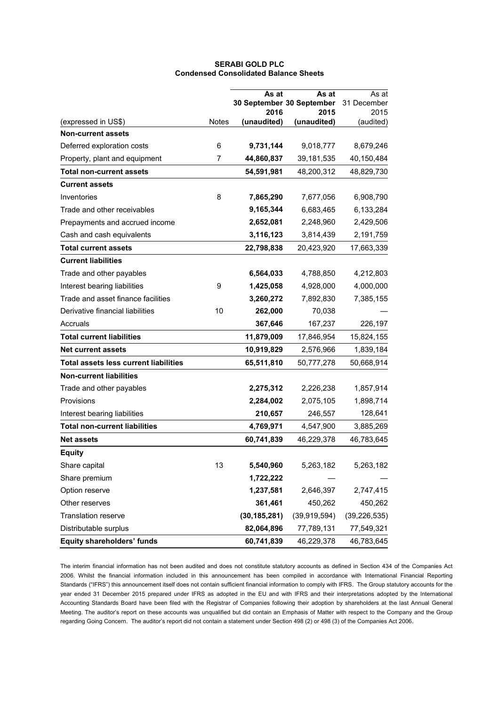# **SERABI GOLD PLC Condensed Consolidated Balance Sheets**

|                                              |              | As at<br>30 September 30 September | As at          | As at<br>31 December |
|----------------------------------------------|--------------|------------------------------------|----------------|----------------------|
|                                              |              | 2016                               | 2015           | 2015                 |
| (expressed in US\$)                          | <b>Notes</b> | (unaudited)                        | (unaudited)    | (audited)            |
| <b>Non-current assets</b>                    |              |                                    |                |                      |
| Deferred exploration costs                   | 6            | 9,731,144                          | 9,018,777      | 8,679,246            |
| Property, plant and equipment                | 7            | 44,860,837                         | 39, 181, 535   | 40,150,484           |
| <b>Total non-current assets</b>              |              | 54,591,981                         | 48,200,312     | 48,829,730           |
| <b>Current assets</b>                        |              |                                    |                |                      |
| Inventories                                  | 8            | 7,865,290                          | 7,677,056      | 6,908,790            |
| Trade and other receivables                  |              | 9,165,344                          | 6,683,465      | 6,133,284            |
| Prepayments and accrued income               |              | 2,652,081                          | 2,248,960      | 2,429,506            |
| Cash and cash equivalents                    |              | 3,116,123                          | 3,814,439      | 2,191,759            |
| <b>Total current assets</b>                  |              | 22,798,838                         | 20,423,920     | 17,663,339           |
| <b>Current liabilities</b>                   |              |                                    |                |                      |
| Trade and other payables                     |              | 6,564,033                          | 4,788,850      | 4,212,803            |
| Interest bearing liabilities                 | 9            | 1,425,058                          | 4,928,000      | 4,000,000            |
| Trade and asset finance facilities           |              | 3,260,272                          | 7,892,830      | 7,385,155            |
| Derivative financial liabilities             | 10           | 262,000                            | 70,038         |                      |
| Accruals                                     |              | 367,646                            | 167,237        | 226,197              |
| <b>Total current liabilities</b>             |              | 11,879,009                         | 17,846,954     | 15,824,155           |
| <b>Net current assets</b>                    |              | 10,919,829                         | 2,576,966      | 1,839,184            |
| <b>Total assets less current liabilities</b> |              | 65,511,810                         | 50,777,278     | 50,668,914           |
| <b>Non-current liabilities</b>               |              |                                    |                |                      |
| Trade and other payables                     |              | 2,275,312                          | 2,226,238      | 1,857,914            |
| Provisions                                   |              | 2,284,002                          | 2,075,105      | 1,898,714            |
| Interest bearing liabilities                 |              | 210,657                            | 246,557        | 128,641              |
| <b>Total non-current liabilities</b>         |              | 4,769,971                          | 4,547,900      | 3,885,269            |
| <b>Net assets</b>                            |              | 60,741,839                         | 46,229,378     | 46,783,645           |
| <b>Equity</b>                                |              |                                    |                |                      |
| Share capital                                | 13           | 5,540,960                          | 5,263,182      | 5,263,182            |
| Share premium                                |              | 1,722,222                          |                |                      |
| Option reserve                               |              | 1,237,581                          | 2,646,397      | 2,747,415            |
| Other reserves                               |              | 361,461                            | 450,262        | 450,262              |
| Translation reserve                          |              | (30, 185, 281)                     | (39, 919, 594) | (39, 226, 535)       |
| Distributable surplus                        |              | 82,064,896                         | 77,789,131     | 77,549,321           |
| <b>Equity shareholders' funds</b>            |              | 60,741,839                         | 46,229,378     | 46,783,645           |

The interim financial information has not been audited and does not constitute statutory accounts as defined in Section 434 of the Companies Act 2006. Whilst the financial information included in this announcement has been compiled in accordance with International Financial Reporting Standards ("IFRS") this announcement itself does not contain sufficient financial information to comply with IFRS. The Group statutory accounts for the year ended 31 December 2015 prepared under IFRS as adopted in the EU and with IFRS and their interpretations adopted by the International Accounting Standards Board have been filed with the Registrar of Companies following their adoption by shareholders at the last Annual General Meeting. The auditor's report on these accounts was unqualified but did contain an Emphasis of Matter with respect to the Company and the Group regarding Going Concern. The auditor's report did not contain a statement under Section 498 (2) or 498 (3) of the Companies Act 2006.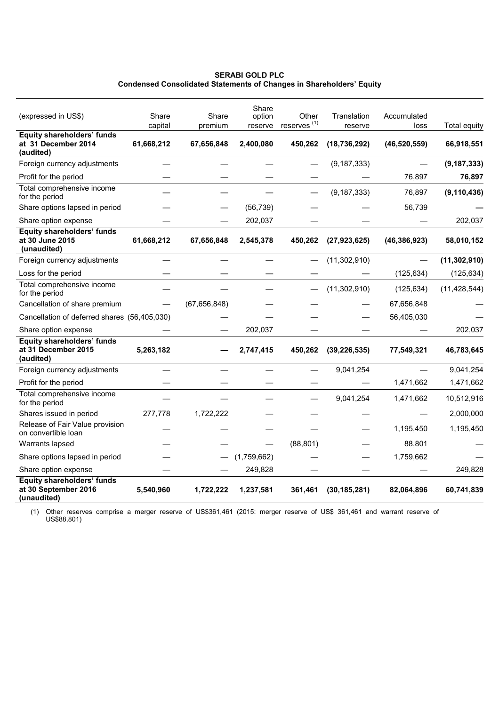# **SERABI GOLD PLC Condensed Consolidated Statements of Changes in Shareholders' Equity**

| (expressed in US\$)                                                   | Share<br>capital | Share<br>premium | Share<br>option<br>reserve | Other<br>reserves <sup>(1)</sup> | Translation<br>reserve | Accumulated<br>loss | <b>Total equity</b> |
|-----------------------------------------------------------------------|------------------|------------------|----------------------------|----------------------------------|------------------------|---------------------|---------------------|
| <b>Equity shareholders' funds</b><br>at 31 December 2014<br>(audited) | 61,668,212       | 67,656,848       | 2,400,080                  | 450,262                          | (18, 736, 292)         | (46, 520, 559)      | 66,918,551          |
| Foreign currency adjustments                                          |                  |                  |                            |                                  | (9, 187, 333)          |                     | (9, 187, 333)       |
| Profit for the period                                                 |                  |                  |                            |                                  |                        | 76,897              | 76,897              |
| Total comprehensive income<br>for the period                          |                  |                  |                            |                                  | (9, 187, 333)          | 76,897              | (9, 110, 436)       |
| Share options lapsed in period                                        |                  |                  | (56, 739)                  |                                  |                        | 56,739              |                     |
| Share option expense                                                  |                  |                  | 202,037                    |                                  |                        |                     | 202,037             |
| <b>Equity shareholders' funds</b><br>at 30 June 2015<br>(unaudited)   | 61,668,212       | 67,656,848       | 2,545,378                  | 450,262                          | (27, 923, 625)         | (46, 386, 923)      | 58,010,152          |
| Foreign currency adjustments                                          |                  |                  |                            |                                  | (11,302,910)           |                     | (11, 302, 910)      |
| Loss for the period                                                   |                  |                  |                            |                                  |                        | (125, 634)          | (125, 634)          |
| Total comprehensive income<br>for the period                          |                  |                  |                            |                                  | (11,302,910)           | (125, 634)          | (11, 428, 544)      |
| Cancellation of share premium                                         |                  | (67, 656, 848)   |                            |                                  |                        | 67,656,848          |                     |
| Cancellation of deferred shares (56,405,030)                          |                  |                  |                            |                                  |                        | 56,405,030          |                     |
| Share option expense                                                  |                  |                  | 202,037                    |                                  |                        |                     | 202,037             |
| <b>Equity shareholders' funds</b><br>at 31 December 2015<br>(audited) | 5,263,182        |                  | 2,747,415                  | 450,262                          | (39, 226, 535)         | 77,549,321          | 46,783,645          |
| Foreign currency adjustments                                          |                  |                  |                            |                                  | 9,041,254              |                     | 9,041,254           |
| Profit for the period                                                 |                  |                  |                            |                                  |                        | 1,471,662           | 1,471,662           |
| Total comprehensive income<br>for the period                          |                  |                  |                            |                                  | 9,041,254              | 1,471,662           | 10,512,916          |
| Shares issued in period                                               | 277,778          | 1,722,222        |                            |                                  |                        |                     | 2,000,000           |
| Release of Fair Value provision<br>on convertible loan                |                  |                  |                            |                                  |                        | 1,195,450           | 1,195,450           |
| Warrants lapsed                                                       |                  |                  |                            | (88, 801)                        |                        | 88,801              |                     |
| Share options lapsed in period                                        |                  |                  | (1,759,662)                |                                  |                        | 1,759,662           |                     |
| Share option expense                                                  |                  |                  | 249,828                    |                                  |                        |                     | 249,828             |
| Equity shareholders' funds<br>at 30 September 2016<br>(unaudited)     | 5,540,960        | 1,722,222        | 1,237,581                  | 361,461                          | (30, 185, 281)         | 82,064,896          | 60,741,839          |

(1) Other reserves comprise a merger reserve of US\$361,461 (2015: merger reserve of US\$ 361,461 and warrant reserve of US\$88,801)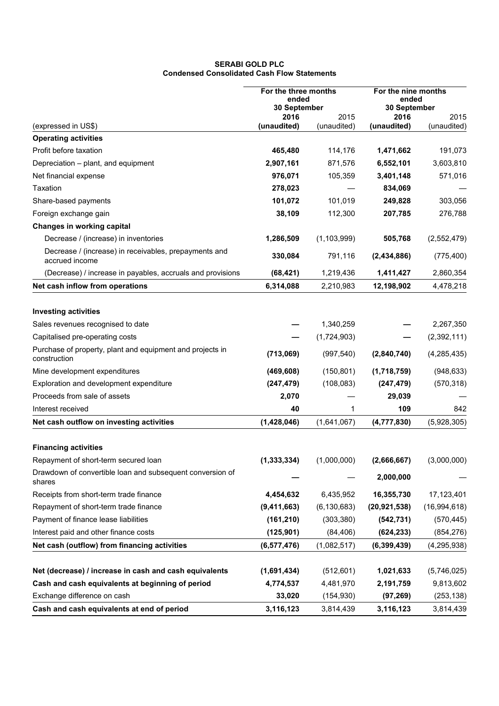# **SERABI GOLD PLC Condensed Consolidated Cash Flow Statements**

|                                                                           | For the three months<br>ended |               | For the nine months<br>ended |                     |
|---------------------------------------------------------------------------|-------------------------------|---------------|------------------------------|---------------------|
|                                                                           | 30 September<br>2016<br>2015  |               | 30 September<br>2016         |                     |
| (expressed in US\$)                                                       | (unaudited)                   | (unaudited)   | (unaudited)                  | 2015<br>(unaudited) |
| <b>Operating activities</b>                                               |                               |               |                              |                     |
| Profit before taxation                                                    | 465,480                       | 114,176       | 1,471,662                    | 191,073             |
| Depreciation - plant, and equipment                                       | 2,907,161                     | 871,576       | 6,552,101                    | 3,603,810           |
| Net financial expense                                                     | 976,071                       | 105,359       | 3,401,148                    | 571,016             |
| Taxation                                                                  | 278,023                       |               | 834,069                      |                     |
| Share-based payments                                                      | 101,072                       | 101,019       | 249,828                      | 303,056             |
| Foreign exchange gain                                                     | 38,109                        | 112,300       | 207,785                      | 276,788             |
| <b>Changes in working capital</b>                                         |                               |               |                              |                     |
| Decrease / (increase) in inventories                                      | 1,286,509                     | (1, 103, 999) | 505,768                      | (2,552,479)         |
| Decrease / (increase) in receivables, prepayments and<br>accrued income   | 330,084                       | 791,116       | (2,434,886)                  | (775, 400)          |
| (Decrease) / increase in payables, accruals and provisions                | (68, 421)                     | 1,219,436     | 1,411,427                    | 2,860,354           |
| Net cash inflow from operations                                           | 6,314,088                     | 2,210,983     | 12,198,902                   | 4,478,218           |
|                                                                           |                               |               |                              |                     |
| <b>Investing activities</b>                                               |                               |               |                              |                     |
| Sales revenues recognised to date                                         |                               | 1,340,259     |                              | 2,267,350           |
| Capitalised pre-operating costs                                           |                               | (1,724,903)   |                              | (2,392,111)         |
| Purchase of property, plant and equipment and projects in<br>construction | (713,069)                     | (997, 540)    | (2,840,740)                  | (4, 285, 435)       |
| Mine development expenditures                                             | (469, 608)                    | (150, 801)    | (1,718,759)                  | (948, 633)          |
| Exploration and development expenditure                                   | (247, 479)                    | (108, 083)    | (247, 479)                   | (570, 318)          |
| Proceeds from sale of assets                                              | 2,070                         |               | 29,039                       |                     |
| Interest received                                                         | 40                            | $\mathbf{1}$  | 109                          | 842                 |
| Net cash outflow on investing activities                                  | (1,428,046)                   | (1,641,067)   | (4, 777, 830)                | (5,928,305)         |
| <b>Financing activities</b>                                               |                               |               |                              |                     |
| Repayment of short-term secured loan                                      | (1, 333, 334)                 | (1,000,000)   | (2,666,667)                  | (3,000,000)         |
| Drawdown of convertible loan and subsequent conversion of<br>shares       |                               |               | 2,000,000                    |                     |
| Receipts from short-term trade finance                                    | 4,454,632                     | 6,435,952     | 16,355,730                   | 17,123,401          |
| Repayment of short-term trade finance                                     | (9,411,663)                   | (6, 130, 683) | (20, 921, 538)               | (16,994,618)        |
| Payment of finance lease liabilities                                      | (161, 210)                    | (303, 380)    | (542, 731)                   | (570, 445)          |
| Interest paid and other finance costs                                     | (125, 901)                    | (84, 406)     | (624, 233)                   | (854, 276)          |
| Net cash (outflow) from financing activities                              | (6, 577, 476)                 | (1,082,517)   | (6, 399, 439)                | (4, 295, 938)       |
|                                                                           |                               |               |                              |                     |
| Net (decrease) / increase in cash and cash equivalents                    | (1,691,434)                   | (512,601)     | 1,021,633                    | (5,746,025)         |
| Cash and cash equivalents at beginning of period                          | 4,774,537                     | 4,481,970     | 2,191,759                    | 9,813,602           |
| Exchange difference on cash                                               | 33,020                        | (154, 930)    | (97, 269)                    | (253, 138)          |
| Cash and cash equivalents at end of period                                | 3,116,123                     | 3,814,439     | 3,116,123                    | 3,814,439           |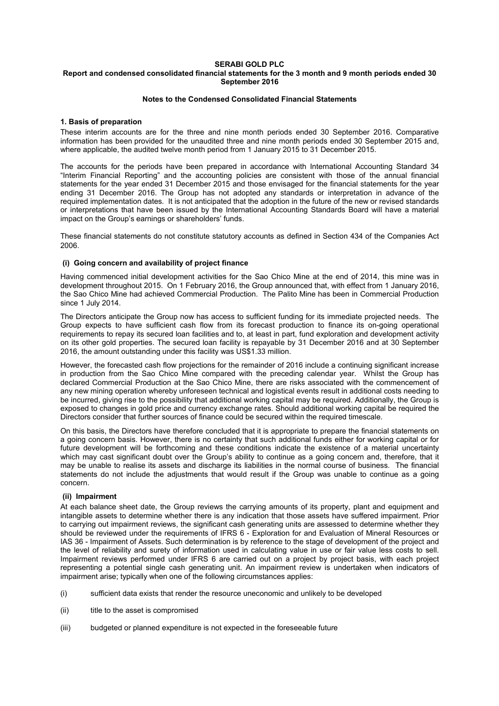#### **SERABI GOLD PLC Report and condensed consolidated financial statements for the 3 month and 9 month periods ended 30 September 2016**

# **Notes to the Condensed Consolidated Financial Statements**

# **1. Basis of preparation**

These interim accounts are for the three and nine month periods ended 30 September 2016. Comparative information has been provided for the unaudited three and nine month periods ended 30 September 2015 and, where applicable, the audited twelve month period from 1 January 2015 to 31 December 2015.

The accounts for the periods have been prepared in accordance with International Accounting Standard 34 "Interim Financial Reporting" and the accounting policies are consistent with those of the annual financial statements for the year ended 31 December 2015 and those envisaged for the financial statements for the year ending 31 December 2016. The Group has not adopted any standards or interpretation in advance of the required implementation dates. It is not anticipated that the adoption in the future of the new or revised standards or interpretations that have been issued by the International Accounting Standards Board will have a material impact on the Group's earnings or shareholders' funds.

These financial statements do not constitute statutory accounts as defined in Section 434 of the Companies Act 2006.

# **(i) Going concern and availability of project finance**

Having commenced initial development activities for the Sao Chico Mine at the end of 2014, this mine was in development throughout 2015. On 1 February 2016, the Group announced that, with effect from 1 January 2016, the Sao Chico Mine had achieved Commercial Production. The Palito Mine has been in Commercial Production since 1 July 2014.

The Directors anticipate the Group now has access to sufficient funding for its immediate projected needs. The Group expects to have sufficient cash flow from its forecast production to finance its on-going operational requirements to repay its secured loan facilities and to, at least in part, fund exploration and development activity on its other gold properties. The secured loan facility is repayable by 31 December 2016 and at 30 September 2016, the amount outstanding under this facility was US\$1.33 million.

However, the forecasted cash flow projections for the remainder of 2016 include a continuing significant increase in production from the Sao Chico Mine compared with the preceding calendar year. Whilst the Group has declared Commercial Production at the Sao Chico Mine, there are risks associated with the commencement of any new mining operation whereby unforeseen technical and logistical events result in additional costs needing to be incurred, giving rise to the possibility that additional working capital may be required. Additionally, the Group is exposed to changes in gold price and currency exchange rates. Should additional working capital be required the Directors consider that further sources of finance could be secured within the required timescale.

On this basis, the Directors have therefore concluded that it is appropriate to prepare the financial statements on a going concern basis. However, there is no certainty that such additional funds either for working capital or for future development will be forthcoming and these conditions indicate the existence of a material uncertainty which mav cast significant doubt over the Group's ability to continue as a going concern and, therefore, that it may be unable to realise its assets and discharge its liabilities in the normal course of business. The financial statements do not include the adjustments that would result if the Group was unable to continue as a going concern.

### **(ii) Impairment**

At each balance sheet date, the Group reviews the carrying amounts of its property, plant and equipment and intangible assets to determine whether there is any indication that those assets have suffered impairment. Prior to carrying out impairment reviews, the significant cash generating units are assessed to determine whether they should be reviewed under the requirements of IFRS 6 - Exploration for and Evaluation of Mineral Resources or IAS 36 - Impairment of Assets. Such determination is by reference to the stage of development of the project and the level of reliability and surety of information used in calculating value in use or fair value less costs to sell. Impairment reviews performed under IFRS 6 are carried out on a project by project basis, with each project representing a potential single cash generating unit. An impairment review is undertaken when indicators of impairment arise; typically when one of the following circumstances applies:

- (i) sufficient data exists that render the resource uneconomic and unlikely to be developed
- (ii) title to the asset is compromised
- (iii) budgeted or planned expenditure is not expected in the foreseeable future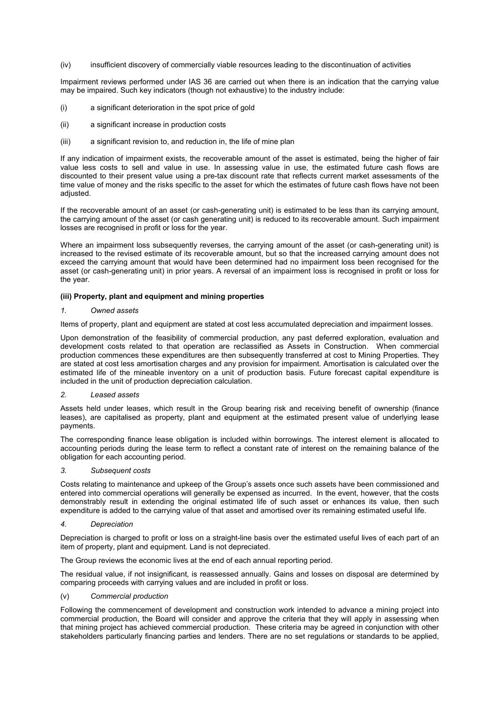(iv) insufficient discovery of commercially viable resources leading to the discontinuation of activities

Impairment reviews performed under IAS 36 are carried out when there is an indication that the carrying value may be impaired. Such key indicators (though not exhaustive) to the industry include:

- (i) a significant deterioration in the spot price of gold
- (ii) a significant increase in production costs
- (iii) a significant revision to, and reduction in, the life of mine plan

If any indication of impairment exists, the recoverable amount of the asset is estimated, being the higher of fair value less costs to sell and value in use. In assessing value in use, the estimated future cash flows are discounted to their present value using a pre-tax discount rate that reflects current market assessments of the time value of money and the risks specific to the asset for which the estimates of future cash flows have not been adjusted.

If the recoverable amount of an asset (or cash-generating unit) is estimated to be less than its carrying amount, the carrying amount of the asset (or cash generating unit) is reduced to its recoverable amount. Such impairment losses are recognised in profit or loss for the year.

Where an impairment loss subsequently reverses, the carrying amount of the asset (or cash-generating unit) is increased to the revised estimate of its recoverable amount, but so that the increased carrying amount does not exceed the carrying amount that would have been determined had no impairment loss been recognised for the asset (or cash-generating unit) in prior years. A reversal of an impairment loss is recognised in profit or loss for the year.

#### **(iii) Property, plant and equipment and mining properties**

#### *1. Owned assets*

Items of property, plant and equipment are stated at cost less accumulated depreciation and impairment losses.

Upon demonstration of the feasibility of commercial production, any past deferred exploration, evaluation and development costs related to that operation are reclassified as Assets in Construction. When commercial production commences these expenditures are then subsequently transferred at cost to Mining Properties. They are stated at cost less amortisation charges and any provision for impairment. Amortisation is calculated over the estimated life of the mineable inventory on a unit of production basis. Future forecast capital expenditure is included in the unit of production depreciation calculation.

#### *2. Leased assets*

Assets held under leases, which result in the Group bearing risk and receiving benefit of ownership (finance leases), are capitalised as property, plant and equipment at the estimated present value of underlying lease payments.

The corresponding finance lease obligation is included within borrowings. The interest element is allocated to accounting periods during the lease term to reflect a constant rate of interest on the remaining balance of the obligation for each accounting period.

### *3. Subsequent costs*

Costs relating to maintenance and upkeep of the Group's assets once such assets have been commissioned and entered into commercial operations will generally be expensed as incurred. In the event, however, that the costs demonstrably result in extending the original estimated life of such asset or enhances its value, then such expenditure is added to the carrying value of that asset and amortised over its remaining estimated useful life.

#### *4. Depreciation*

Depreciation is charged to profit or loss on a straight-line basis over the estimated useful lives of each part of an item of property, plant and equipment. Land is not depreciated.

The Group reviews the economic lives at the end of each annual reporting period.

The residual value, if not insignificant, is reassessed annually. Gains and losses on disposal are determined by comparing proceeds with carrying values and are included in profit or loss.

#### (v) *Commercial production*

Following the commencement of development and construction work intended to advance a mining project into commercial production, the Board will consider and approve the criteria that they will apply in assessing when that mining project has achieved commercial production. These criteria may be agreed in conjunction with other stakeholders particularly financing parties and lenders. There are no set regulations or standards to be applied,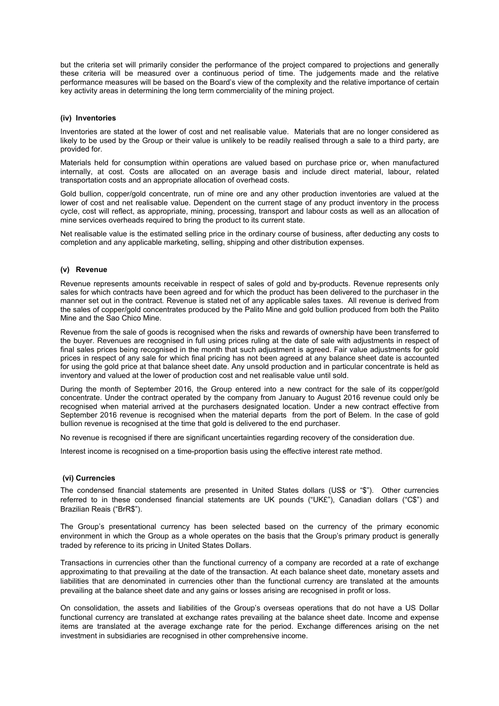but the criteria set will primarily consider the performance of the project compared to projections and generally these criteria will be measured over a continuous period of time. The judgements made and the relative performance measures will be based on the Board's view of the complexity and the relative importance of certain key activity areas in determining the long term commerciality of the mining project.

### **(iv) Inventories**

Inventories are stated at the lower of cost and net realisable value. Materials that are no longer considered as likely to be used by the Group or their value is unlikely to be readily realised through a sale to a third party, are provided for.

Materials held for consumption within operations are valued based on purchase price or, when manufactured internally, at cost. Costs are allocated on an average basis and include direct material, labour, related transportation costs and an appropriate allocation of overhead costs.

Gold bullion, copper/gold concentrate, run of mine ore and any other production inventories are valued at the lower of cost and net realisable value. Dependent on the current stage of any product inventory in the process cycle, cost will reflect, as appropriate, mining, processing, transport and labour costs as well as an allocation of mine services overheads required to bring the product to its current state.

Net realisable value is the estimated selling price in the ordinary course of business, after deducting any costs to completion and any applicable marketing, selling, shipping and other distribution expenses.

# **(v) Revenue**

Revenue represents amounts receivable in respect of sales of gold and by-products. Revenue represents only sales for which contracts have been agreed and for which the product has been delivered to the purchaser in the manner set out in the contract. Revenue is stated net of any applicable sales taxes. All revenue is derived from the sales of copper/gold concentrates produced by the Palito Mine and gold bullion produced from both the Palito Mine and the Sao Chico Mine.

Revenue from the sale of goods is recognised when the risks and rewards of ownership have been transferred to the buyer. Revenues are recognised in full using prices ruling at the date of sale with adjustments in respect of final sales prices being recognised in the month that such adjustment is agreed. Fair value adjustments for gold prices in respect of any sale for which final pricing has not been agreed at any balance sheet date is accounted for using the gold price at that balance sheet date. Any unsold production and in particular concentrate is held as inventory and valued at the lower of production cost and net realisable value until sold.

During the month of September 2016, the Group entered into a new contract for the sale of its copper/gold concentrate. Under the contract operated by the company from January to August 2016 revenue could only be recognised when material arrived at the purchasers designated location. Under a new contract effective from September 2016 revenue is recognised when the material departs from the port of Belem. In the case of gold bullion revenue is recognised at the time that gold is delivered to the end purchaser.

No revenue is recognised if there are significant uncertainties regarding recovery of the consideration due.

Interest income is recognised on a time-proportion basis using the effective interest rate method.

### **(vi) Currencies**

The condensed financial statements are presented in United States dollars (US\$ or "\$"). Other currencies referred to in these condensed financial statements are UK pounds ("UK£"), Canadian dollars ("C\$") and Brazilian Reais ("BrR\$").

The Group's presentational currency has been selected based on the currency of the primary economic environment in which the Group as a whole operates on the basis that the Group's primary product is generally traded by reference to its pricing in United States Dollars.

Transactions in currencies other than the functional currency of a company are recorded at a rate of exchange approximating to that prevailing at the date of the transaction. At each balance sheet date, monetary assets and liabilities that are denominated in currencies other than the functional currency are translated at the amounts prevailing at the balance sheet date and any gains or losses arising are recognised in profit or loss.

On consolidation, the assets and liabilities of the Group's overseas operations that do not have a US Dollar functional currency are translated at exchange rates prevailing at the balance sheet date. Income and expense items are translated at the average exchange rate for the period. Exchange differences arising on the net investment in subsidiaries are recognised in other comprehensive income.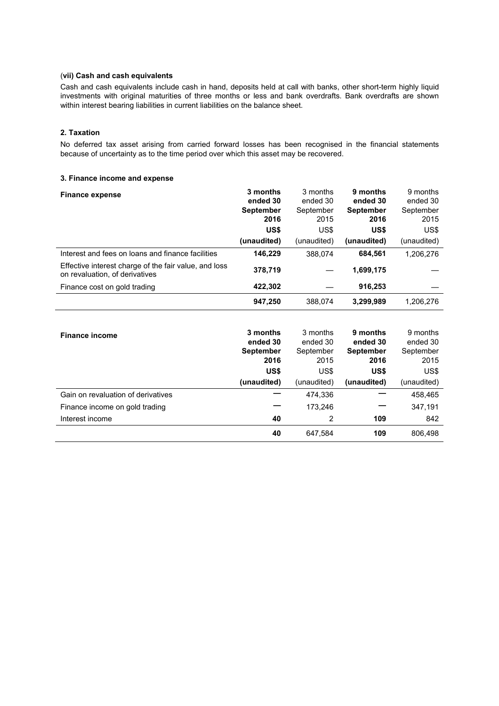# (**vii) Cash and cash equivalents**

Cash and cash equivalents include cash in hand, deposits held at call with banks, other short-term highly liquid investments with original maturities of three months or less and bank overdrafts. Bank overdrafts are shown within interest bearing liabilities in current liabilities on the balance sheet.

# **2. Taxation**

No deferred tax asset arising from carried forward losses has been recognised in the financial statements because of uncertainty as to the time period over which this asset may be recovered.

# **3. Finance income and expense**

| <b>Finance expense</b>                                                                  | 3 months<br>ended 30     | 3 months<br>ended 30 | 9 months<br>ended 30     | 9 months<br>ended 30 |
|-----------------------------------------------------------------------------------------|--------------------------|----------------------|--------------------------|----------------------|
|                                                                                         | <b>September</b><br>2016 | September<br>2015    | <b>September</b><br>2016 | September<br>2015    |
|                                                                                         | US\$                     | US\$                 | US\$                     | US\$                 |
|                                                                                         | (unaudited)              | (unaudited)          | (unaudited)              | (unaudited)          |
| Interest and fees on loans and finance facilities                                       | 146.229                  | 388.074              | 684.561                  | 1,206,276            |
| Effective interest charge of the fair value, and loss<br>on revaluation, of derivatives | 378,719                  |                      | 1,699,175                |                      |
| Finance cost on gold trading                                                            | 422,302                  |                      | 916,253                  |                      |
|                                                                                         | 947.250                  | 388.074              | 3,299,989                | 1,206,276            |

| <b>Finance income</b>              | 3 months<br>ended 30<br><b>September</b> | 3 months<br>ended 30<br>September | 9 months<br>ended 30<br><b>September</b> | 9 months<br>ended 30<br>September |
|------------------------------------|------------------------------------------|-----------------------------------|------------------------------------------|-----------------------------------|
|                                    | 2016                                     | 2015                              | 2016                                     | 2015                              |
|                                    | US\$                                     | US\$                              | US\$                                     | US\$                              |
|                                    | (unaudited)                              | (unaudited)                       | (unaudited)                              | (unaudited)                       |
| Gain on revaluation of derivatives |                                          | 474,336                           |                                          | 458,465                           |
| Finance income on gold trading     |                                          | 173,246                           |                                          | 347,191                           |
| Interest income                    | 40                                       | 2                                 | 109                                      | 842                               |
|                                    | 40                                       | 647,584                           | 109                                      | 806,498                           |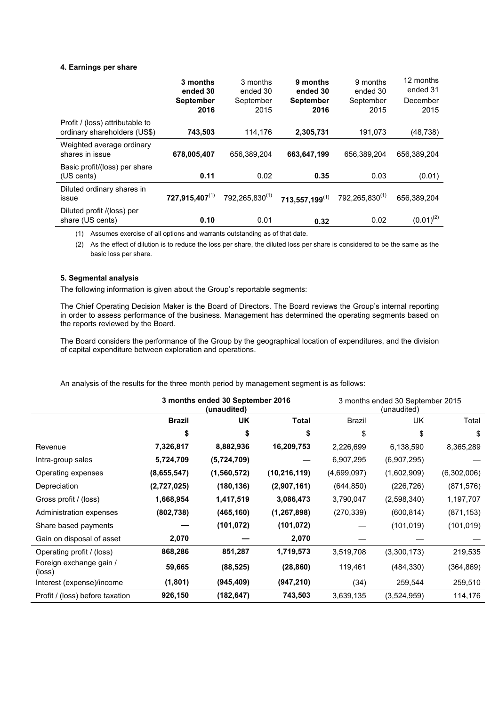# **4. Earnings per share**

|                                                                 | 3 months<br>ended 30     | 3 months<br>ended 30       | 9 months<br>ended 30     | 9 months<br>ended 30         | 12 months<br>ended 31 |
|-----------------------------------------------------------------|--------------------------|----------------------------|--------------------------|------------------------------|-----------------------|
|                                                                 | <b>September</b><br>2016 | September<br>2015          | <b>September</b><br>2016 | September<br>2015            | December<br>2015      |
| Profit / (loss) attributable to<br>ordinary shareholders (US\$) | 743,503                  | 114,176                    | 2,305,731                | 191,073                      | (48, 738)             |
| Weighted average ordinary<br>shares in issue                    | 678,005,407              | 656.389.204                | 663,647,199              | 656.389.204                  | 656.389.204           |
| Basic profit/(loss) per share<br>(US cents)                     | 0.11                     | 0.02                       | 0.35                     | 0.03                         | (0.01)                |
| Diluted ordinary shares in<br>issue                             | $727,915,407^{(1)}$      | 792,265,830 <sup>(1)</sup> | $713,557,199^{(1)}$      | 792, 265, 830 <sup>(1)</sup> | 656.389.204           |
| Diluted profit /(loss) per<br>share (US cents)                  | 0.10                     | 0.01                       | 0.32                     | 0.02                         | $(0.01)^{(2)}$        |

(1) Assumes exercise of all options and warrants outstanding as of that date.

(2) As the effect of dilution is to reduce the loss per share, the diluted loss per share is considered to be the same as the basic loss per share.

### **5. Segmental analysis**

The following information is given about the Group's reportable segments:

The Chief Operating Decision Maker is the Board of Directors. The Board reviews the Group's internal reporting in order to assess performance of the business. Management has determined the operating segments based on the reports reviewed by the Board.

The Board considers the performance of the Group by the geographical location of expenditures, and the division of capital expenditure between exploration and operations.

An analysis of the results for the three month period by management segment is as follows:

|                                   | 3 months ended 30 September 2016<br>(unaudited) |             | 3 months ended 30 September 2015<br>(unaudited) |             |             |             |
|-----------------------------------|-------------------------------------------------|-------------|-------------------------------------------------|-------------|-------------|-------------|
|                                   | <b>Brazil</b>                                   | UK.         | Total                                           | Brazil      | UK          | Total       |
|                                   | \$                                              | \$          | \$                                              | \$          | \$          | \$          |
| Revenue                           | 7,326,817                                       | 8,882,936   | 16,209,753                                      | 2,226,699   | 6,138,590   | 8,365,289   |
| Intra-group sales                 | 5,724,709                                       | (5,724,709) |                                                 | 6,907,295   | (6,907,295) |             |
| Operating expenses                | (8,655,547)                                     | (1,560,572) | (10, 216, 119)                                  | (4,699,097) | (1,602,909) | (6,302,006) |
| Depreciation                      | (2,727,025)                                     | (180, 136)  | (2,907,161)                                     | (644, 850)  | (226,726)   | (871, 576)  |
| Gross profit / (loss)             | 1,668,954                                       | 1,417,519   | 3,086,473                                       | 3,790,047   | (2,598,340) | 1,197,707   |
| Administration expenses           | (802, 738)                                      | (465, 160)  | (1, 267, 898)                                   | (270, 339)  | (600, 814)  | (871, 153)  |
| Share based payments              |                                                 | (101, 072)  | (101, 072)                                      |             | (101, 019)  | (101, 019)  |
| Gain on disposal of asset         | 2,070                                           |             | 2,070                                           |             |             |             |
| Operating profit / (loss)         | 868,286                                         | 851,287     | 1,719,573                                       | 3,519,708   | (3,300,173) | 219,535     |
| Foreign exchange gain /<br>(loss) | 59,665                                          | (88, 525)   | (28, 860)                                       | 119,461     | (484,330)   | (364,869)   |
| Interest (expense)/income         | (1,801)                                         | (945, 409)  | (947, 210)                                      | (34)        | 259,544     | 259,510     |
| Profit / (loss) before taxation   | 926,150                                         | (182, 647)  | 743,503                                         | 3,639,135   | (3,524,959) | 114,176     |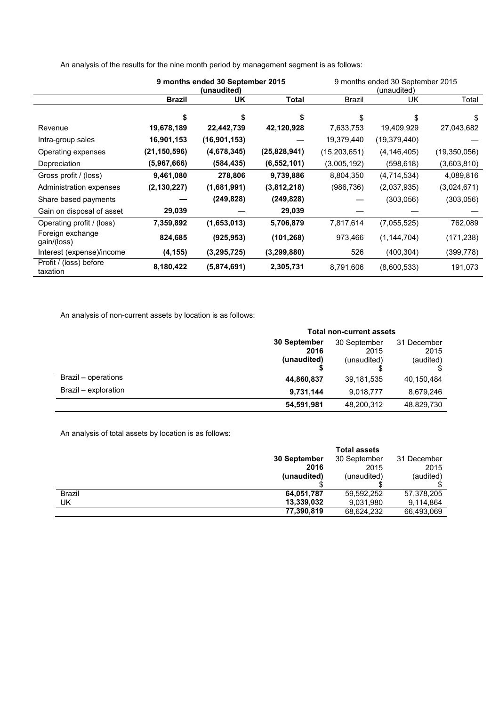|                                    | 9 months ended 30 September 2015<br>(unaudited) |                | 9 months ended 30 September 2015<br>(unaudited) |              |                |              |
|------------------------------------|-------------------------------------------------|----------------|-------------------------------------------------|--------------|----------------|--------------|
|                                    | <b>Brazil</b>                                   | UK             | Total                                           | Brazil       | UK             | Total        |
|                                    | \$                                              | \$             |                                                 | \$           | \$             | \$           |
| Revenue                            | 19,678,189                                      | 22,442,739     | 42,120,928                                      | 7,633,753    | 19,409,929     | 27,043,682   |
| Intra-group sales                  | 16,901,153                                      | (16, 901, 153) |                                                 | 19,379,440   | (19, 379, 440) |              |
| Operating expenses                 | (21, 150, 596)                                  | (4,678,345)    | (25,828,941)                                    | (15,203,651) | (4, 146, 405)  | (19,350,056) |
| Depreciation                       | (5,967,666)                                     | (584, 435)     | (6, 552, 101)                                   | (3,005,192)  | (598, 618)     | (3,603,810)  |
| Gross profit / (loss)              | 9,461,080                                       | 278,806        | 9,739,886                                       | 8,804,350    | (4,714,534)    | 4,089,816    |
| Administration expenses            | (2, 130, 227)                                   | (1,681,991)    | (3,812,218)                                     | (986, 736)   | (2,037,935)    | (3,024,671)  |
| Share based payments               |                                                 | (249, 828)     | (249, 828)                                      |              | (303,056)      | (303, 056)   |
| Gain on disposal of asset          | 29,039                                          |                | 29,039                                          |              |                |              |
| Operating profit / (loss)          | 7,359,892                                       | (1,653,013)    | 5,706,879                                       | 7,817,614    | (7,055,525)    | 762,089      |
| Foreign exchange<br>gain/(loss)    | 824,685                                         | (925, 953)     | (101, 268)                                      | 973,466      | (1, 144, 704)  | (171, 238)   |
| Interest (expense)/income          | (4, 155)                                        | (3, 295, 725)  | (3, 299, 880)                                   | 526          | (400, 304)     | (399, 778)   |
| Profit / (loss) before<br>taxation | 8,180,422                                       | (5,874,691)    | 2,305,731                                       | 8,791,606    | (8,600,533)    | 191,073      |

An analysis of the results for the nine month period by management segment is as follows:

An analysis of non-current assets by location is as follows:

|                      | <b>Total non-current assets</b> |              |             |  |
|----------------------|---------------------------------|--------------|-------------|--|
|                      | 30 September                    | 30 September | 31 December |  |
|                      | 2016                            | 2015         | 2015        |  |
|                      | (unaudited)                     | (unaudited)  | (audited)   |  |
|                      |                                 |              |             |  |
| Brazil – operations  | 44,860,837                      | 39,181,535   | 40,150,484  |  |
| Brazil - exploration | 9,731,144                       | 9,018,777    | 8,679,246   |  |
|                      | 54,591,981                      | 48,200,312   | 48,829,730  |  |

An analysis of total assets by location is as follows:

|               |              | <b>Total assets</b> |             |
|---------------|--------------|---------------------|-------------|
|               | 30 September | 30 September        | 31 December |
|               | 2016         | 2015                | 2015        |
|               | (unaudited)  | (unaudited)         | (audited)   |
|               |              |                     |             |
| <b>Brazil</b> | 64,051,787   | 59,592,252          | 57,378,205  |
| UK            | 13,339,032   | 9,031,980           | 9,114,864   |
|               | 77,390,819   | 68,624,232          | 66,493,069  |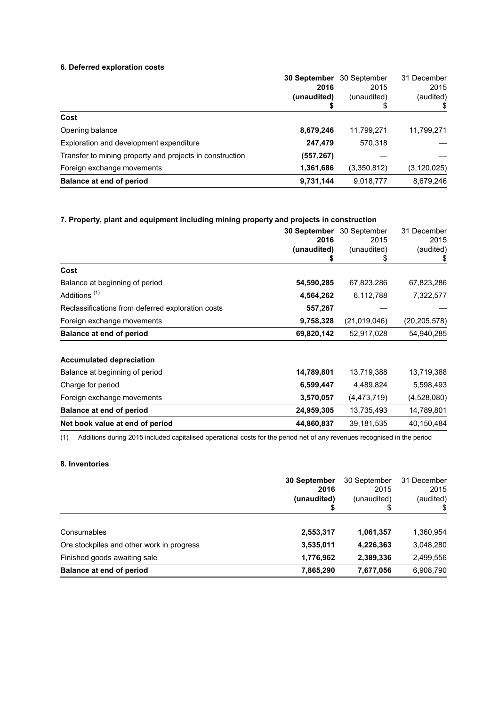# **6. Deferred exploration costs**

|                                                          | 30 September | 30 September | 31 December   |
|----------------------------------------------------------|--------------|--------------|---------------|
|                                                          | 2016         | 2015         | 2015          |
|                                                          | (unaudited)  | (unaudited)  | (audited)     |
|                                                          |              | \$           |               |
| Cost                                                     |              |              |               |
| Opening balance                                          | 8,679,246    | 11,799,271   | 11,799,271    |
| Exploration and development expenditure                  | 247,479      | 570,318      |               |
| Transfer to mining property and projects in construction | (557, 267)   |              |               |
| Foreign exchange movements                               | 1,361,686    | (3,350,812)  | (3, 120, 025) |
| Balance at end of period                                 | 9,731,144    | 9,018,777    | 8,679,246     |

# **7. Property, plant and equipment including mining property and projects in construction**

|                                                   | 30 September      | 30 September      | 31 December     |
|---------------------------------------------------|-------------------|-------------------|-----------------|
|                                                   | 2016              | 2015              | 2015            |
|                                                   | (unaudited)<br>\$ | (unaudited)<br>\$ | (audited)<br>\$ |
| Cost                                              |                   |                   |                 |
| Balance at beginning of period                    | 54,590,285        | 67,823,286        | 67,823,286      |
| Additions <sup>(1)</sup>                          | 4,564,262         | 6,112,788         | 7,322,577       |
| Reclassifications from deferred exploration costs | 557,267           |                   |                 |
| Foreign exchange movements                        | 9,758,328         | (21,019,046)      | (20, 205, 578)  |
| <b>Balance at end of period</b>                   | 69,820,142        | 52,917,028        | 54,940,285      |
| <b>Accumulated depreciation</b>                   |                   |                   |                 |
| Balance at beginning of period                    | 14,789,801        | 13,719,388        | 13,719,388      |
| Charge for period                                 | 6,599,447         | 4,489,824         | 5,598,493       |
| Foreign exchange movements                        | 3,570,057         | (4, 473, 719)     | (4,528,080)     |
| <b>Balance at end of period</b>                   | 24,959,305        | 13,735,493        | 14,789,801      |
| Net book value at end of period                   | 44,860,837        | 39,181,535        | 40,150,484      |

(1) Additions during 2015 included capitalised operational costs for the period net of any revenues recognised in the period

# **8. Inventories**

|                                           | 30 September<br>2016<br>(unaudited) | 30 September<br>2015<br>(unaudited)<br>\$ | 31 December<br>2015<br>(audited) |
|-------------------------------------------|-------------------------------------|-------------------------------------------|----------------------------------|
| Consumables                               | 2,553,317                           | 1,061,357                                 | 1,360,954                        |
| Ore stockpiles and other work in progress | 3,535,011                           | 4,226,363                                 | 3,048,280                        |
| Finished goods awaiting sale              | 1,776,962                           | 2,389,336                                 | 2,499,556                        |
| Balance at end of period                  | 7,865,290                           | 7,677,056                                 | 6,908,790                        |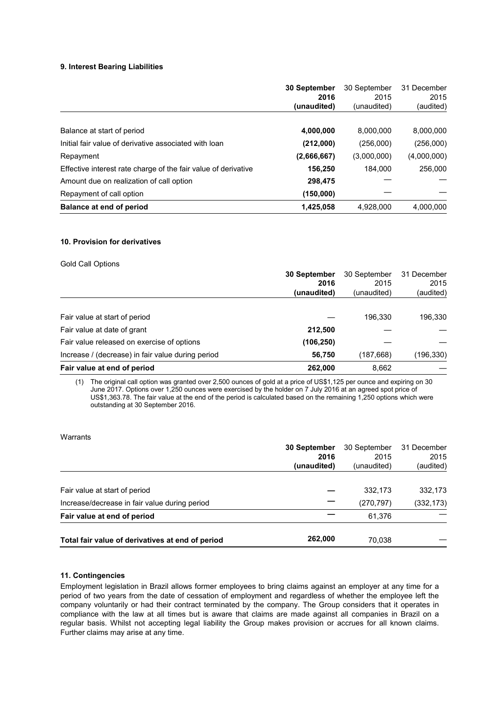# **9. Interest Bearing Liabilities**

|                                                                | 30 September<br>2016<br>(unaudited) | 30 September<br>2015<br>(unaudited) | 31 December<br>2015<br>(audited) |
|----------------------------------------------------------------|-------------------------------------|-------------------------------------|----------------------------------|
|                                                                |                                     |                                     |                                  |
| Balance at start of period                                     | 4,000,000                           | 8,000,000                           | 8,000,000                        |
| Initial fair value of derivative associated with loan          | (212,000)                           | (256,000)                           | (256,000)                        |
| Repayment                                                      | (2,666,667)                         | (3,000,000)                         | (4,000,000)                      |
| Effective interest rate charge of the fair value of derivative | 156,250                             | 184.000                             | 256,000                          |
| Amount due on realization of call option                       | 298,475                             |                                     |                                  |
| Repayment of call option                                       | (150,000)                           |                                     |                                  |
| Balance at end of period                                       | 1,425,058                           | 4,928,000                           | 4,000,000                        |

#### **10. Provision for derivatives**

### Gold Call Options

| 2015<br>2016<br>(unaudited)<br>(unaudited)<br>Fair value at start of period<br>196,330<br>Fair value at date of grant<br>212,500<br>Fair value released on exercise of options<br>(106, 250)<br>Increase / (decrease) in fair value during period<br>56,750<br>(187,668) | Fair value at end of period | 262,000             | 8,662        |                                  |
|--------------------------------------------------------------------------------------------------------------------------------------------------------------------------------------------------------------------------------------------------------------------------|-----------------------------|---------------------|--------------|----------------------------------|
|                                                                                                                                                                                                                                                                          |                             |                     |              | (196,330)                        |
|                                                                                                                                                                                                                                                                          |                             |                     |              |                                  |
|                                                                                                                                                                                                                                                                          |                             |                     |              |                                  |
|                                                                                                                                                                                                                                                                          |                             |                     |              | 196,330                          |
|                                                                                                                                                                                                                                                                          |                             | <b>30 September</b> | 30 September | 31 December<br>2015<br>(audited) |

(1) The original call option was granted over 2,500 ounces of gold at a price of US\$1,125 per ounce and expiring on 30 June 2017. Options over 1,250 ounces were exercised by the holder on 7 July 2016 at an agreed spot price of US\$1,363.78. The fair value at the end of the period is calculated based on the remaining 1,250 options which were outstanding at 30 September 2016.

#### **Warrants**

|                                                  | <b>30 September</b> | 30 September | 31 December |
|--------------------------------------------------|---------------------|--------------|-------------|
|                                                  | 2016                | 2015         | 2015        |
|                                                  | (unaudited)         | (unaudited)  | (audited)   |
|                                                  |                     |              |             |
| Fair value at start of period                    |                     | 332.173      | 332,173     |
| Increase/decrease in fair value during period    |                     | (270,797)    | (332, 173)  |
| Fair value at end of period                      |                     | 61,376       |             |
| Total fair value of derivatives at end of period | 262,000             | 70,038       |             |

# **11. Contingencies**

Employment legislation in Brazil allows former employees to bring claims against an employer at any time for a period of two years from the date of cessation of employment and regardless of whether the employee left the company voluntarily or had their contract terminated by the company. The Group considers that it operates in compliance with the law at all times but is aware that claims are made against all companies in Brazil on a regular basis. Whilst not accepting legal liability the Group makes provision or accrues for all known claims. Further claims may arise at any time.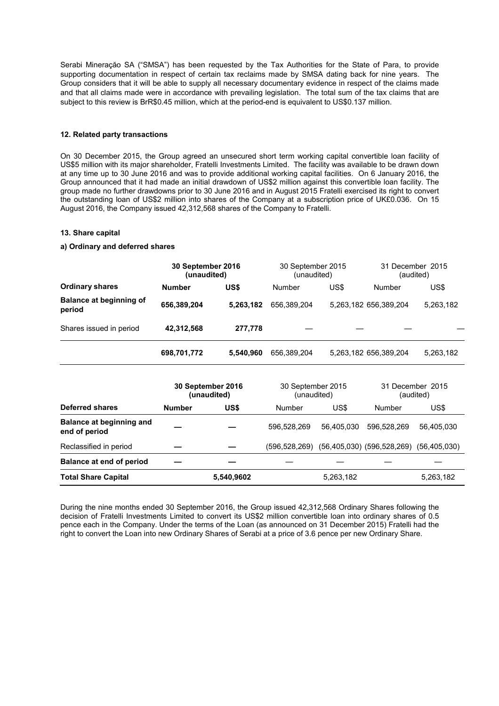Serabi Mineraçăo SA ("SMSA") has been requested by the Tax Authorities for the State of Para, to provide supporting documentation in respect of certain tax reclaims made by SMSA dating back for nine years. The Group considers that it will be able to supply all necessary documentary evidence in respect of the claims made and that all claims made were in accordance with prevailing legislation. The total sum of the tax claims that are subject to this review is BrR\$0.45 million, which at the period-end is equivalent to US\$0.137 million.

### **12. Related party transactions**

On 30 December 2015, the Group agreed an unsecured short term working capital convertible loan facility of US\$5 million with its major shareholder, Fratelli Investments Limited. The facility was available to be drawn down at any time up to 30 June 2016 and was to provide additional working capital facilities. On 6 January 2016, the Group announced that it had made an initial drawdown of US\$2 million against this convertible loan facility. The group made no further drawdowns prior to 30 June 2016 and in August 2015 Fratelli exercised its right to convert the outstanding loan of US\$2 million into shares of the Company at a subscription price of UK£0.036. On 15 August 2016, the Company issued 42,312,568 shares of the Company to Fratelli.

# **13. Share capital**

#### **a) Ordinary and deferred shares**

|                                                  | 30 September 2016 | (unaudited)                      | 30 September 2015<br>(unaudited) |            | 31 December 2015<br>(audited)                 |            |
|--------------------------------------------------|-------------------|----------------------------------|----------------------------------|------------|-----------------------------------------------|------------|
| <b>Ordinary shares</b>                           | <b>Number</b>     | US\$                             | <b>Number</b>                    | US\$       | <b>Number</b>                                 | US\$       |
| <b>Balance at beginning of</b><br>period         | 656,389,204       | 5,263,182                        | 656,389,204                      |            | 5,263,182 656,389,204                         | 5,263,182  |
| Shares issued in period                          | 42,312,568        | 277,778                          |                                  |            |                                               |            |
|                                                  | 698,701,772       | 5,540,960                        | 656,389,204                      |            | 5,263,182 656,389,204                         | 5,263,182  |
|                                                  |                   | 30 September 2016<br>(unaudited) | 30 September 2015<br>(unaudited) |            | 31 December 2015<br>(audited)                 |            |
| <b>Deferred shares</b>                           | <b>Number</b>     | US\$                             | US\$<br><b>Number</b>            |            | <b>Number</b>                                 | US\$       |
| <b>Balance at beginning and</b><br>end of period |                   |                                  | 596,528,269                      | 56,405,030 | 596,528,269                                   | 56,405,030 |
| Reclassified in period                           |                   |                                  | (596,528,269)                    |            | $(56,405,030)$ $(596,528,269)$ $(56,405,030)$ |            |
| <b>Balance at end of period</b>                  |                   |                                  |                                  |            |                                               |            |
| <b>Total Share Capital</b>                       |                   | 5,540,9602                       |                                  | 5,263,182  |                                               | 5,263,182  |

During the nine months ended 30 September 2016, the Group issued 42,312,568 Ordinary Shares following the decision of Fratelli Investments Limited to convert its US\$2 million convertible loan into ordinary shares of 0.5 pence each in the Company. Under the terms of the Loan (as announced on 31 December 2015) Fratelli had the right to convert the Loan into new Ordinary Shares of Serabi at a price of 3.6 pence per new Ordinary Share.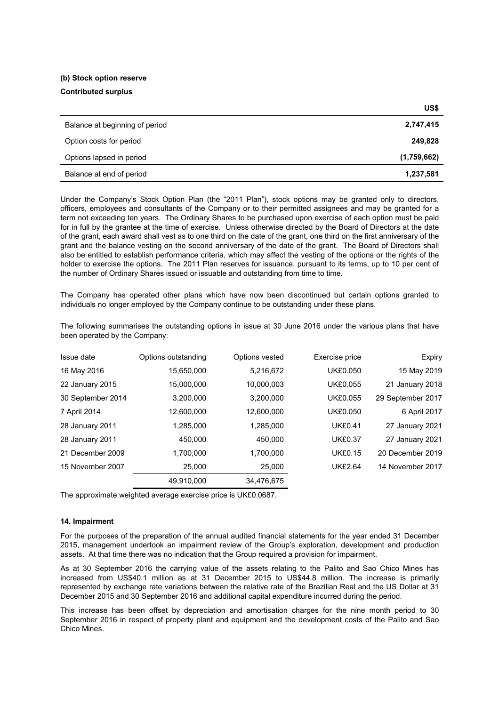# **(b) Stock option reserve Contributed surplus**

|                                | US\$        |
|--------------------------------|-------------|
| Balance at beginning of period | 2,747,415   |
| Option costs for period        | 249,828     |
| Options lapsed in period       | (1,759,662) |
| Balance at end of period       | 1,237,581   |

Under the Company's Stock Option Plan (the "2011 Plan"), stock options may be granted only to directors, officers, employees and consultants of the Company or to their permitted assignees and may be granted for a term not exceeding ten years. The Ordinary Shares to be purchased upon exercise of each option must be paid for in full by the grantee at the time of exercise. Unless otherwise directed by the Board of Directors at the date of the grant, each award shall vest as to one third on the date of the grant, one third on the first anniversary of the grant and the balance vesting on the second anniversary of the date of the grant. The Board of Directors shall also be entitled to establish performance criteria, which may affect the vesting of the options or the rights of the holder to exercise the options. The 2011 Plan reserves for issuance, pursuant to its terms, up to 10 per cent of the number of Ordinary Shares issued or issuable and outstanding from time to time.

The Company has operated other plans which have now been discontinued but certain options granted to individuals no longer employed by the Company continue to be outstanding under these plans.

The following summarises the outstanding options in issue at 30 June 2016 under the various plans that have been operated by the Company:

| Issue date        | Options outstanding | Options vested | Exercise price  | Expiry            |
|-------------------|---------------------|----------------|-----------------|-------------------|
| 16 May 2016       | 15,650,000          | 5,216,672      | <b>UK£0.050</b> | 15 May 2019       |
| 22 January 2015   | 15,000,000          | 10,000,003     | <b>UK£0.055</b> | 21 January 2018   |
| 30 September 2014 | 3,200,000           | 3,200,000      | UK£0.055        | 29 September 2017 |
| 7 April 2014      | 12,600,000          | 12,600,000     | <b>UK£0.050</b> | 6 April 2017      |
| 28 January 2011   | 1,285,000           | 1,285,000      | <b>UK£0.41</b>  | 27 January 2021   |
| 28 January 2011   | 450.000             | 450.000        | <b>UK£0.37</b>  | 27 January 2021   |
| 21 December 2009  | 1.700.000           | 1,700,000      | <b>UK£0.15</b>  | 20 December 2019  |
| 15 November 2007  | 25,000              | 25,000         | <b>UK£2.64</b>  | 14 November 2017  |
|                   | 49,910,000          | 34,476,675     |                 |                   |

The approximate weighted average exercise price is UK£0.0687.

### **14. Impairment**

For the purposes of the preparation of the annual audited financial statements for the year ended 31 December 2015, management undertook an impairment review of the Group's exploration, development and production assets. At that time there was no indication that the Group required a provision for impairment.

As at 30 September 2016 the carrying value of the assets relating to the Palito and Sao Chico Mines has increased from US\$40.1 million as at 31 December 2015 to US\$44.8 million. The increase is primarily represented by exchange rate variations between the relative rate of the Brazilian Real and the US Dollar at 31 December 2015 and 30 September 2016 and additional capital expenditure incurred during the period.

This increase has been offset by depreciation and amortisation charges for the nine month period to 30 September 2016 in respect of property plant and equipment and the development costs of the Palito and Sao Chico Mines.